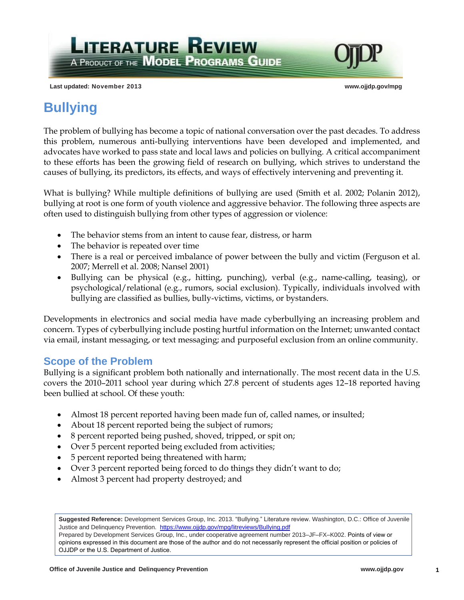**Last updated: November 2013 www.ojjdp.gov/mpg**

# **Bullying**

The problem of bullying has become a topic of national conversation over the past decades. To address this problem, numerous anti-bullying interventions have been developed and implemented, and advocates have worked to pass state and local laws and policies on bullying. A critical accompaniment to these efforts has been the growing field of research on bullying, which strives to understand the causes of bullying, its predictors, its effects, and ways of effectively intervening and preventing it.

What is bullying? While multiple definitions of bullying are used (Smith et al. 2002; Polanin 2012), bullying at root is one form of youth violence and aggressive behavior. The following three aspects are often used to distinguish bullying from other types of aggression or violence:

• The behavior stems from an intent to cause fear, distress, or harm

**LITERATURE REVIEW** 

A PRODUCT OF THE **MODEL PROGRAMS GUIDE** 

- The behavior is repeated over time
- There is a real or perceived imbalance of power between the bully and victim (Ferguson et al. 2007; Merrell et al. 2008; Nansel 2001)
- Bullying can be physical (e.g., hitting, punching), verbal (e.g., name-calling, teasing), or psychological/relational (e.g., rumors, social exclusion). Typically, individuals involved with bullying are classified as bullies, bully-victims, victims, or bystanders.

Developments in electronics and social media have made cyberbullying an increasing problem and concern. Types of cyberbullying include posting hurtful information on the Internet; unwanted contact via email, instant messaging, or text messaging; and purposeful exclusion from an online community.

### **Scope of the Problem**

Bullying is a significant problem both nationally and internationally. The most recent data in the U.S. covers the 2010–2011 school year during which 27.8 percent of students ages 12–18 reported having been bullied at school. Of these youth:

- Almost 18 percent reported having been made fun of, called names, or insulted;
- About 18 percent reported being the subject of rumors;
- 8 percent reported being pushed, shoved, tripped, or spit on;
- Over 5 percent reported being excluded from activities;
- 5 percent reported being threatened with harm;
- Over 3 percent reported being forced to do things they didn't want to do;
- Almost 3 percent had property destroyed; and

**Suggested Reference:** Development Services Group, Inc. 2013. "Bullying." Literature review. Washington, D.C.: Office of Juvenile Justice and Delinquency Prevention. https://www.ojjdp.gov/mpg/litreviews/Bullying.pdf

Prepared by Development Services Group, Inc., under cooperative agreement number 2013–JF–FX–K002. Points of view or opinions expressed in this document are those of the author and do not necessarily represent the official position or policies of OJJDP or the U.S. Department of Justice.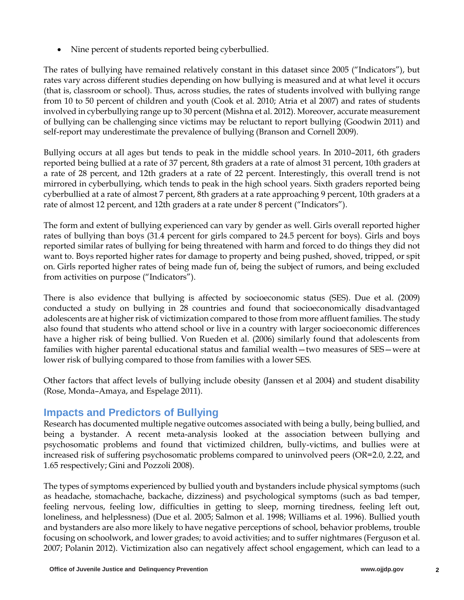• Nine percent of students reported being cyberbullied.

The rates of bullying have remained relatively constant in this dataset since 2005 ("Indicators"), but rates vary across different studies depending on how bullying is measured and at what level it occurs (that is, classroom or school). Thus, across studies, the rates of students involved with bullying range from 10 to 50 percent of children and youth (Cook et al. 2010; Atria et al 2007) and rates of students involved in cyberbullying range up to 30 percent (Mishna et al. 2012). Moreover, accurate measurement of bullying can be challenging since victims may be reluctant to report bullying (Goodwin 2011) and self-report may underestimate the prevalence of bullying (Branson and Cornell 2009).

Bullying occurs at all ages but tends to peak in the middle school years. In 2010–2011, 6th graders reported being bullied at a rate of 37 percent, 8th graders at a rate of almost 31 percent, 10th graders at a rate of 28 percent, and 12th graders at a rate of 22 percent. Interestingly, this overall trend is not mirrored in cyberbullying, which tends to peak in the high school years. Sixth graders reported being cyberbullied at a rate of almost 7 percent, 8th graders at a rate approaching 9 percent, 10th graders at a rate of almost 12 percent, and 12th graders at a rate under 8 percent ("Indicators").

The form and extent of bullying experienced can vary by gender as well. Girls overall reported higher rates of bullying than boys (31.4 percent for girls compared to 24.5 percent for boys). Girls and boys reported similar rates of bullying for being threatened with harm and forced to do things they did not want to. Boys reported higher rates for damage to property and being pushed, shoved, tripped, or spit on. Girls reported higher rates of being made fun of, being the subject of rumors, and being excluded from activities on purpose ("Indicators").

There is also evidence that bullying is affected by socioeconomic status (SES). Due et al. (2009) conducted a study on bullying in 28 countries and found that socioeconomically disadvantaged adolescents are at higher risk of victimization compared to those from more affluent families. The study also found that students who attend school or live in a country with larger socioeconomic differences have a higher risk of being bullied. Von Rueden et al. (2006) similarly found that adolescents from families with higher parental educational status and familial wealth—two measures of SES—were at lower risk of bullying compared to those from families with a lower SES.

Other factors that affect levels of bullying include obesity (Janssen et al 2004) and student disability (Rose, Monda–Amaya, and Espelage 2011).

### **Impacts and Predictors of Bullying**

Research has documented multiple negative outcomes associated with being a bully, being bullied, and being a bystander. A recent meta-analysis looked at the association between bullying and psychosomatic problems and found that victimized children, bully-victims, and bullies were at increased risk of suffering psychosomatic problems compared to uninvolved peers (OR=2.0, 2.22, and 1.65 respectively; Gini and Pozzoli 2008).

The types of symptoms experienced by bullied youth and bystanders include physical symptoms (such as headache, stomachache, backache, dizziness) and psychological symptoms (such as bad temper, feeling nervous, feeling low, difficulties in getting to sleep, morning tiredness, feeling left out, loneliness, and helplessness) (Due et al. 2005; Salmon et al. 1998; Williams et al. 1996). Bullied youth and bystanders are also more likely to have negative perceptions of school, behavior problems, trouble focusing on schoolwork, and lower grades; to avoid activities; and to suffer nightmares (Ferguson et al. 2007; Polanin 2012). Victimization also can negatively affect school engagement, which can lead to a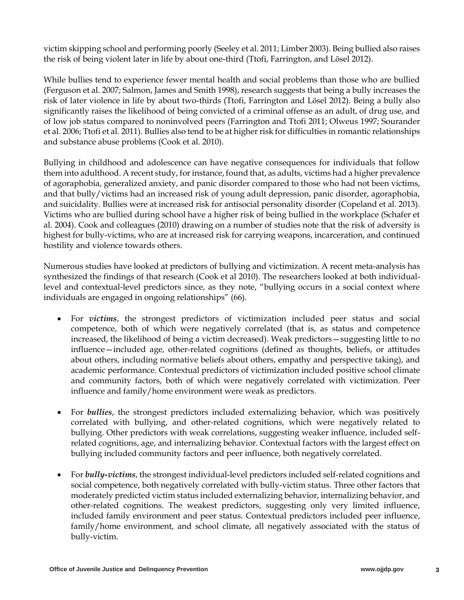victim skipping school and performing poorly (Seeley et al. 2011; Limber 2003). Being bullied also raises the risk of being violent later in life by about one-third (Ttofi, Farrington, and Lösel 2012).

While bullies tend to experience fewer mental health and social problems than those who are bullied (Ferguson et al. 2007; Salmon, James and Smith 1998), research suggests that being a bully increases the risk of later violence in life by about two-thirds (Ttofi, Farrington and Lӧsel 2012). Being a bully also significantly raises the likelihood of being convicted of a criminal offense as an adult, of drug use, and of low job status compared to noninvolved peers (Farrington and Ttofi 2011; Olweus 1997; Sourander et al. 2006; Ttofi et al. 2011). Bullies also tend to be at higher risk for difficulties in romantic relationships and substance abuse problems (Cook et al. 2010).

Bullying in childhood and adolescence can have negative consequences for individuals that follow them into adulthood. A recent study, for instance, found that, as adults, victims had a higher prevalence of agoraphobia, generalized anxiety, and panic disorder compared to those who had not been victims, and that bully/victims had an increased risk of young adult depression, panic disorder, agoraphobia, and suicidality. Bullies were at increased risk for antisocial personality disorder (Copeland et al. 2013). Victims who are bullied during school have a higher risk of being bullied in the workplace (Schafer et al. 2004). Cook and colleagues (2010) drawing on a number of studies note that the risk of adversity is highest for bully-victims, who are at increased risk for carrying weapons, incarceration, and continued hostility and violence towards others.

Numerous studies have looked at predictors of bullying and victimization. A recent meta-analysis has synthesized the findings of that research (Cook et al 2010). The researchers looked at both individuallevel and contextual-level predictors since, as they note, "bullying occurs in a social context where individuals are engaged in ongoing relationships" (66).

- For *victims*, the strongest predictors of victimization included peer status and social competence, both of which were negatively correlated (that is, as status and competence increased, the likelihood of being a victim decreased). Weak predictors—suggesting little to no influence—included age, other-related cognitions (defined as thoughts, beliefs, or attitudes about others, including normative beliefs about others, empathy and perspective taking), and academic performance. Contextual predictors of victimization included positive school climate and community factors, both of which were negatively correlated with victimization. Peer influence and family/home environment were weak as predictors.
- For *bullies*, the strongest predictors included externalizing behavior, which was positively correlated with bullying, and other-related cognitions, which were negatively related to bullying. Other predictors with weak correlations, suggesting weaker influence, included selfrelated cognitions, age, and internalizing behavior. Contextual factors with the largest effect on bullying included community factors and peer influence, both negatively correlated.
- For *bully-victims*, the strongest individual-level predictors included self-related cognitions and social competence, both negatively correlated with bully-victim status. Three other factors that moderately predicted victim status included externalizing behavior, internalizing behavior, and other-related cognitions. The weakest predictors, suggesting only very limited influence, included family environment and peer status. Contextual predictors included peer influence, family/home environment, and school climate, all negatively associated with the status of bully-victim.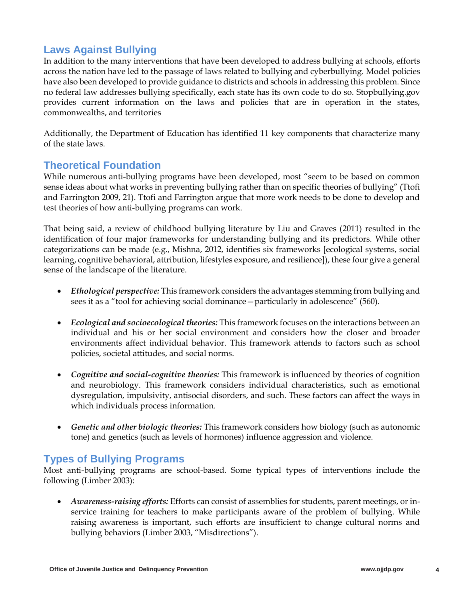### **Laws Against Bullying**

In addition to the many interventions that have been developed to address bullying at schools, efforts across the nation have led to the passage of laws related to bullying and cyberbullying. Model policies have also been developed to provide guidance to districts and schools in addressing this problem. Since no federal law addresses bullying specifically, each state has its own code to do so. Stopbullying.gov provides current information on the laws and policies that are in operation in the states, commonwealths, and territories

Additionally, the Department of Education has identified 11 key components that characterize many of the state laws.

### **Theoretical Foundation**

While numerous anti-bullying programs have been developed, most "seem to be based on common sense ideas about what works in preventing bullying rather than on specific theories of bullying" (Ttofi and Farrington 2009, 21). Ttofi and Farrington argue that more work needs to be done to develop and test theories of how anti-bullying programs can work.

That being said, a review of childhood bullying literature by Liu and Graves (2011) resulted in the identification of four major frameworks for understanding bullying and its predictors. While other categorizations can be made (e.g., Mishna, 2012, identifies six frameworks [ecological systems, social learning, cognitive behavioral, attribution, lifestyles exposure, and resilience]), these four give a general sense of the landscape of the literature.

- *Ethological perspective:* This framework considers the advantages stemming from bullying and sees it as a "tool for achieving social dominance—particularly in adolescence" (560).
- *Ecological and socioecological theories:* This framework focuses on the interactions between an individual and his or her social environment and considers how the closer and broader environments affect individual behavior. This framework attends to factors such as school policies, societal attitudes, and social norms.
- *Cognitive and social-cognitive theories:* This framework is influenced by theories of cognition and neurobiology. This framework considers individual characteristics, such as emotional dysregulation, impulsivity, antisocial disorders, and such. These factors can affect the ways in which individuals process information.
- *Genetic and other biologic theories:* This framework considers how biology (such as autonomic tone) and genetics (such as levels of hormones) influence aggression and violence.

## **Types of Bullying Programs**

Most anti-bullying programs are school-based. Some typical types of interventions include the following (Limber 2003):

 *Awareness-raising efforts:* Efforts can consist of assemblies for students, parent meetings, or inservice training for teachers to make participants aware of the problem of bullying. While raising awareness is important, such efforts are insufficient to change cultural norms and bullying behaviors (Limber 2003, "Misdirections").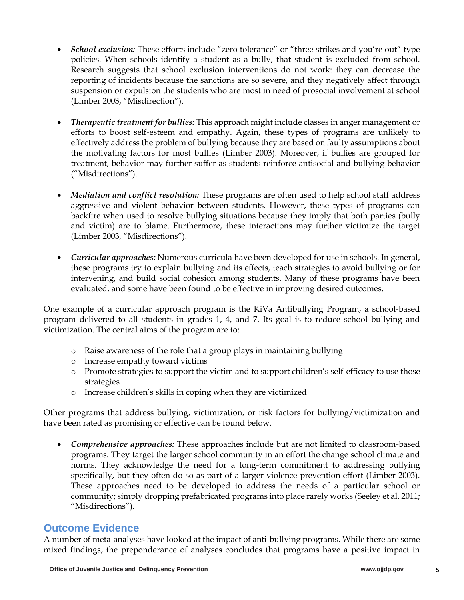- *School exclusion:* These efforts include "zero tolerance" or "three strikes and you're out" type policies. When schools identify a student as a bully, that student is excluded from school. Research suggests that school exclusion interventions do not work: they can decrease the reporting of incidents because the sanctions are so severe, and they negatively affect through suspension or expulsion the students who are most in need of prosocial involvement at school (Limber 2003, "Misdirection").
- *Therapeutic treatment for bullies:* This approach might include classes in anger management or efforts to boost self-esteem and empathy. Again, these types of programs are unlikely to effectively address the problem of bullying because they are based on faulty assumptions about the motivating factors for most bullies (Limber 2003). Moreover, if bullies are grouped for treatment, behavior may further suffer as students reinforce antisocial and bullying behavior ("Misdirections").
- *Mediation and conflict resolution:* These programs are often used to help school staff address aggressive and violent behavior between students. However, these types of programs can backfire when used to resolve bullying situations because they imply that both parties (bully and victim) are to blame. Furthermore, these interactions may further victimize the target (Limber 2003, "Misdirections").
- *Curricular approaches:* Numerous curricula have been developed for use in schools. In general, these programs try to explain bullying and its effects, teach strategies to avoid bullying or for intervening, and build social cohesion among students. Many of these programs have been evaluated, and some have been found to be effective in improving desired outcomes.

One example of a curricular approach program is the KiVa Antibullying Program, a school-based program delivered to all students in grades 1, 4, and 7. Its goal is to reduce school bullying and victimization. The central aims of the program are to:

- o Raise awareness of the role that a group plays in maintaining bullying
- o Increase empathy toward victims
- o Promote strategies to support the victim and to support children's self-efficacy to use those strategies
- o Increase children's skills in coping when they are victimized

Other programs that address bullying, victimization, or risk factors for bullying/victimization and have been rated as promising or effective can be found below.

 *Comprehensive approaches:* These approaches include but are not limited to classroom-based programs. They target the larger school community in an effort the change school climate and norms. They acknowledge the need for a long-term commitment to addressing bullying specifically, but they often do so as part of a larger violence prevention effort (Limber 2003). These approaches need to be developed to address the needs of a particular school or community; simply dropping prefabricated programs into place rarely works (Seeley et al. 2011; "Misdirections").

### **Outcome Evidence**

A number of meta-analyses have looked at the impact of anti-bullying programs. While there are some mixed findings, the preponderance of analyses concludes that programs have a positive impact in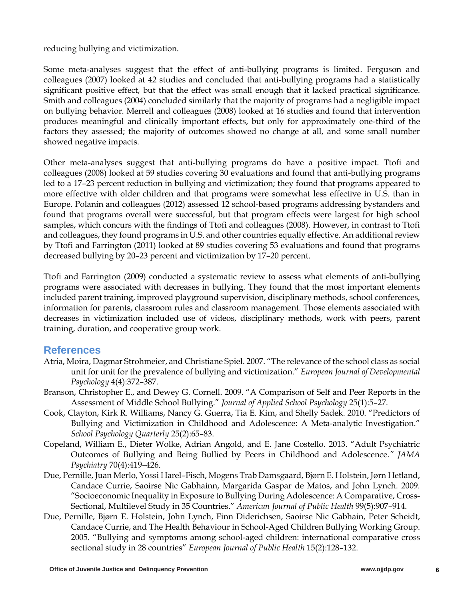reducing bullying and victimization.

Some meta-analyses suggest that the effect of anti-bullying programs is limited. Ferguson and colleagues (2007) looked at 42 studies and concluded that anti-bullying programs had a statistically significant positive effect, but that the effect was small enough that it lacked practical significance. Smith and colleagues (2004) concluded similarly that the majority of programs had a negligible impact on bullying behavior. Merrell and colleagues (2008) looked at 16 studies and found that intervention produces meaningful and clinically important effects, but only for approximately one-third of the factors they assessed; the majority of outcomes showed no change at all, and some small number showed negative impacts.

Other meta-analyses suggest that anti-bullying programs do have a positive impact. Ttofi and colleagues (2008) looked at 59 studies covering 30 evaluations and found that anti-bullying programs led to a 17–23 percent reduction in bullying and victimization; they found that programs appeared to more effective with older children and that programs were somewhat less effective in U.S. than in Europe. Polanin and colleagues (2012) assessed 12 school-based programs addressing bystanders and found that programs overall were successful, but that program effects were largest for high school samples, which concurs with the findings of Ttofi and colleagues (2008). However, in contrast to Ttofi and colleagues, they found programs in U.S. and other countries equally effective. An additional review by Ttofi and Farrington (2011) looked at 89 studies covering 53 evaluations and found that programs decreased bullying by 20–23 percent and victimization by 17–20 percent.

Ttofi and Farrington (2009) conducted a systematic review to assess what elements of anti-bullying programs were associated with decreases in bullying. They found that the most important elements included parent training, improved playground supervision, disciplinary methods, school conferences, information for parents, classroom rules and classroom management. Those elements associated with decreases in victimization included use of videos, disciplinary methods, work with peers, parent training, duration, and cooperative group work.

#### **References**

- Atria, Moira, Dagmar Strohmeier, and Christiane Spiel. 2007. "The relevance of the school class as social unit for unit for the prevalence of bullying and victimization." *European Journal of Developmental Psychology* 4(4):372–387.
- Branson, Christopher E., and Dewey G. Cornell. 2009. "A Comparison of Self and Peer Reports in the Assessment of Middle School Bullying." *Journal of Applied School Psychology* 25(1):5–27.
- Cook, Clayton, Kirk R. Williams, Nancy G. Guerra, Tia E. Kim, and Shelly Sadek. 2010. "Predictors of Bullying and Victimization in Childhood and Adolescence: A Meta-analytic Investigation." *School Psychology Quarterly* 25(2):65–83.
- Copeland, William E., Dieter Wolke, Adrian Angold, and E. Jane Costello. 2013. "Adult Psychiatric Outcomes of Bullying and Being Bullied by Peers in Childhood and Adolescence*." JAMA Psychiatry* 70(4):419–426.
- Due, Pernille, Juan Merlo, Yossi Harel–Fisch, Mogens Trab Damsgaard, Bjørn E. Holstein, Jørn Hetland, Candace Currie, Saoirse Nic Gabhainn, Margarida Gaspar de Matos, and John Lynch. 2009. "Socioeconomic Inequality in Exposure to Bullying During Adolescence: A Comparative, Cross-Sectional, Multilevel Study in 35 Countries." *American Journal of Public Health* 99(5):907–914.
- Due, Pernille, Bjørn E. Holstein, John Lynch, Finn Diderichsen, Saoirse Nic Gabhain, Peter Scheidt, Candace Currie, and The Health Behaviour in School-Aged Children Bullying Working Group. 2005. "Bullying and symptoms among school-aged children: international comparative cross sectional study in 28 countries" *European Journal of Public Health* 15(2):128–132.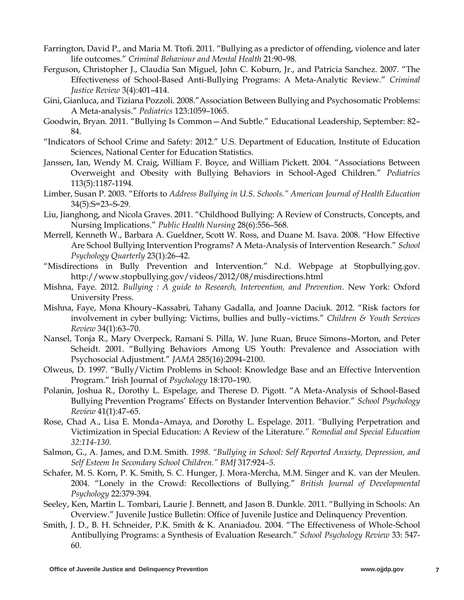- Farrington, David P., and Maria M. Ttofi. 2011. "Bullying as a predictor of offending, violence and later life outcomes." *Criminal Behaviour and Mental Health* 21:90–98.
- Ferguson, Christopher J., Claudia San Miguel, John C. Koburn, Jr., and Patricia Sanchez. 2007. "The Effectiveness of School-Based Anti-Bullying Programs: A Meta-Analytic Review." *Criminal Justice Review* 3(4):401–414.
- Gini, Gianluca, and Tiziana Pozzoli. 2008."Association Between Bullying and Psychosomatic Problems: A Meta-analysis." *Pediatrics* 123:1059–1065.
- Goodwin, Bryan. 2011. "Bullying Is Common—And Subtle." Educational Leadership, September: 82– 84.
- "Indicators of School Crime and Safety: 2012." U.S. Department of Education, Institute of Education Sciences, National Center for Education Statistics.
- Janssen, Ian, Wendy M. Craig, William F. Boyce, and William Pickett. 2004. "Associations Between Overweight and Obesity with Bullying Behaviors in School-Aged Children." *Pediatrics* 113(5):1187-1194.
- Limber, Susan P. 2003. "Efforts to *Address Bullying in U.S. Schools." American Journal of Health Education* 34(5):S=23–S-29.
- Liu, Jianghong, and Nicola Graves. 2011. "Childhood Bullying: A Review of Constructs, Concepts, and Nursing Implications." *Public Health Nursing* 28(6):556–568.
- Merrell, Kenneth W., Barbara A. Gueldner, Scott W. Ross, and Duane M. Isava. 2008. "How Effective Are School Bullying Intervention Programs? A Meta-Analysis of Intervention Research." *School Psychology Quarterly* 23(1):26–42.
- "Misdirections in Bully Prevention and Intervention." N.d. Webpage at Stopbullying.gov. http://www.stopbullying.gov/videos/2012/08/misdirections.html
- Mishna, Faye. 2012. *Bullying : A guide to Research, Intervention, and Prevention*. New York: Oxford University Press.
- Mishna, Faye, Mona Khoury–Kassabri, Tahany Gadalla, and Joanne Daciuk. 2012. "Risk factors for involvement in cyber bullying: Victims, bullies and bully–victims." *Children & Youth Services Review* 34(1):63–70.
- Nansel, Tonja R., Mary Overpeck, Ramani S. Pilla, W. June Ruan, Bruce Simons–Morton, and Peter Scheidt. 2001. "Bullying Behaviors Among US Youth: Prevalence and Association with Psychosocial Adjustment." *JAMA* 285(16):2094–2100.
- Olweus, D. 1997. "Bully/Victim Problems in School: Knowledge Base and an Effective Intervention Program." Irish Journal of *Psychology* 18:170–190.
- Polanin, Joshua R., Dorothy L. Espelage, and Therese D. Pigott. "A Meta-Analysis of School-Based Bullying Prevention Programs' Effects on Bystander Intervention Behavior." *School Psychology Review* 41(1):47–65.
- Rose, Chad A., Lisa E. Monda–Amaya, and Dorothy L. Espelage. 2011*. "*Bullying Perpetration and Victimization in Special Education: A Review of the Literature*." Remedial and Special Education 32:114-130.*
- Salmon, G., A. James, and D.M. Smith*. 1998. "Bullying in School: Self Reported Anxiety, Depression, and Self Esteem In Secondary School Children." BMJ* 317*:*924*–5.*
- Schafer, M. S. Korn, P. K. Smith, S. C. Hunger, J. Mora-Mercha, M.M. Singer and K. van der Meulen. 2004. "Lonely in the Crowd: Recollections of Bullying." *British Journal of Developmental Psychology* 22:379-394.
- Seeley, Ken, Martin L. Tombari, Laurie J. Bennett, and Jason B. Dunkle. 2011. "Bullying in Schools: An Overview." Juvenile Justice Bulletin: Office of Juvenile Justice and Delinquency Prevention.
- Smith, J. D., B. H. Schneider, P.K. Smith & K. Ananiadou. 2004. "The Effectiveness of Whole-School Antibullying Programs: a Synthesis of Evaluation Research." *School Psychology Review* 33: 547- 60.